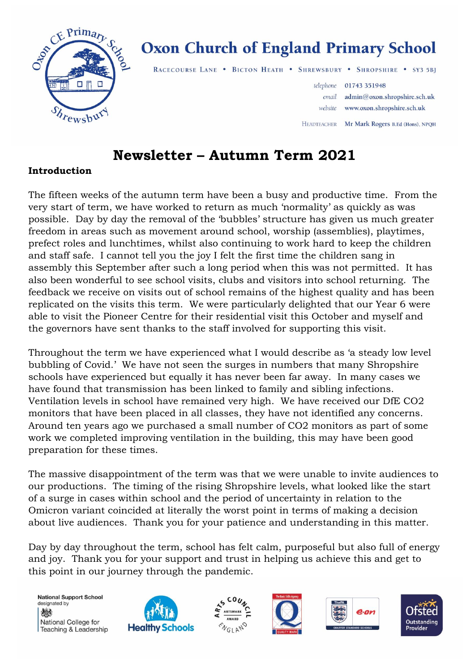

# **Oxon Church of England Primary School**

RACECOURSE LANE . BICTON HEATH . SHREWSBURY . SHROPSHIRE . SY3 5BJ

 $\mathbf{r}$ 

|                    | telephone 01743 351948             |
|--------------------|------------------------------------|
| email              | admin@oxon.shropshire.sch.uk       |
|                    | website www.oxon.shropshire.sch.uk |
| <b>IEADTEACHER</b> | Mr Mark Rogers B.Ed (Hons), NPQH   |

# **Newsletter – Autumn Term 2021**

### **Introduction**

The fifteen weeks of the autumn term have been a busy and productive time. From the very start of term, we have worked to return as much 'normality' as quickly as was possible. Day by day the removal of the 'bubbles' structure has given us much greater freedom in areas such as movement around school, worship (assemblies), playtimes, prefect roles and lunchtimes, whilst also continuing to work hard to keep the children and staff safe. I cannot tell you the joy I felt the first time the children sang in assembly this September after such a long period when this was not permitted. It has also been wonderful to see school visits, clubs and visitors into school returning. The feedback we receive on visits out of school remains of the highest quality and has been replicated on the visits this term. We were particularly delighted that our Year 6 were able to visit the Pioneer Centre for their residential visit this October and myself and the governors have sent thanks to the staff involved for supporting this visit.

Throughout the term we have experienced what I would describe as 'a steady low level bubbling of Covid.' We have not seen the surges in numbers that many Shropshire schools have experienced but equally it has never been far away. In many cases we have found that transmission has been linked to family and sibling infections. Ventilation levels in school have remained very high. We have received our DfE CO2 monitors that have been placed in all classes, they have not identified any concerns. Around ten years ago we purchased a small number of CO2 monitors as part of some work we completed improving ventilation in the building, this may have been good preparation for these times.

The massive disappointment of the term was that we were unable to invite audiences to our productions. The timing of the rising Shropshire levels, what looked like the start of a surge in cases within school and the period of uncertainty in relation to the Omicron variant coincided at literally the worst point in terms of making a decision about live audiences. Thank you for your patience and understanding in this matter.

Day by day throughout the term, school has felt calm, purposeful but also full of energy and joy. Thank you for your support and trust in helping us achieve this and get to this point in our journey through the pandemic.

**National Support School** designated by 燃 National College for Teaching & Leadership









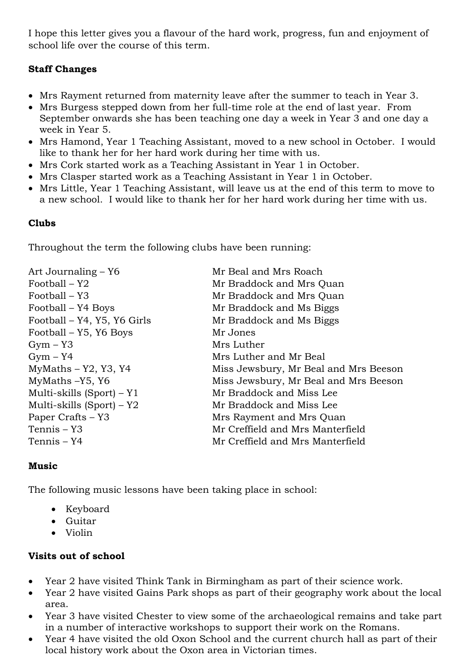I hope this letter gives you a flavour of the hard work, progress, fun and enjoyment of school life over the course of this term.

#### **Staff Changes**

- Mrs Rayment returned from maternity leave after the summer to teach in Year 3.
- Mrs Burgess stepped down from her full-time role at the end of last year. From September onwards she has been teaching one day a week in Year 3 and one day a week in Year 5.
- Mrs Hamond, Year 1 Teaching Assistant, moved to a new school in October. I would like to thank her for her hard work during her time with us.
- Mrs Cork started work as a Teaching Assistant in Year 1 in October.
- Mrs Clasper started work as a Teaching Assistant in Year 1 in October.
- Mrs Little, Year 1 Teaching Assistant, will leave us at the end of this term to move to a new school. I would like to thank her for her hard work during her time with us.

#### **Clubs**

Throughout the term the following clubs have been running:

| Mr Beal and Mrs Roach                 |
|---------------------------------------|
| Mr Braddock and Mrs Quan              |
| Mr Braddock and Mrs Quan              |
| Mr Braddock and Ms Biggs              |
| Mr Braddock and Ms Biggs              |
| Mr Jones                              |
| Mrs Luther                            |
| Mrs Luther and Mr Beal                |
| Miss Jewsbury, Mr Beal and Mrs Beeson |
| Miss Jewsbury, Mr Beal and Mrs Beeson |
| Mr Braddock and Miss Lee              |
| Mr Braddock and Miss Lee              |
| Mrs Rayment and Mrs Quan              |
| Mr Creffield and Mrs Manterfield      |
| Mr Creffield and Mrs Manterfield      |
|                                       |

#### **Music**

The following music lessons have been taking place in school:

- Keyboard
- Guitar
- Violin

#### **Visits out of school**

- Year 2 have visited Think Tank in Birmingham as part of their science work.
- Year 2 have visited Gains Park shops as part of their geography work about the local area.
- Year 3 have visited Chester to view some of the archaeological remains and take part in a number of interactive workshops to support their work on the Romans.
- Year 4 have visited the old Oxon School and the current church hall as part of their local history work about the Oxon area in Victorian times.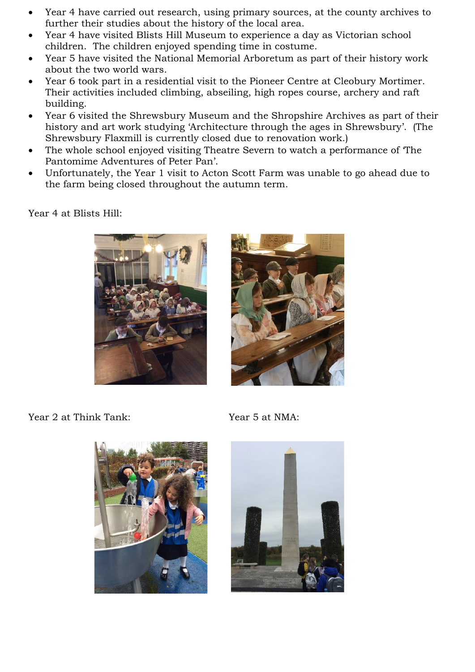- Year 4 have carried out research, using primary sources, at the county archives to further their studies about the history of the local area.
- Year 4 have visited Blists Hill Museum to experience a day as Victorian school children. The children enjoyed spending time in costume.
- Year 5 have visited the National Memorial Arboretum as part of their history work about the two world wars.
- Year 6 took part in a residential visit to the Pioneer Centre at Cleobury Mortimer. Their activities included climbing, abseiling, high ropes course, archery and raft building.
- Year 6 visited the Shrewsbury Museum and the Shropshire Archives as part of their history and art work studying 'Architecture through the ages in Shrewsbury'. (The Shrewsbury Flaxmill is currently closed due to renovation work.)
- The whole school enjoyed visiting Theatre Severn to watch a performance of 'The Pantomime Adventures of Peter Pan'.
- Unfortunately, the Year 1 visit to Acton Scott Farm was unable to go ahead due to the farm being closed throughout the autumn term.

Year 4 at Blists Hill:





Year 2 at Think Tank: Year 5 at NMA:



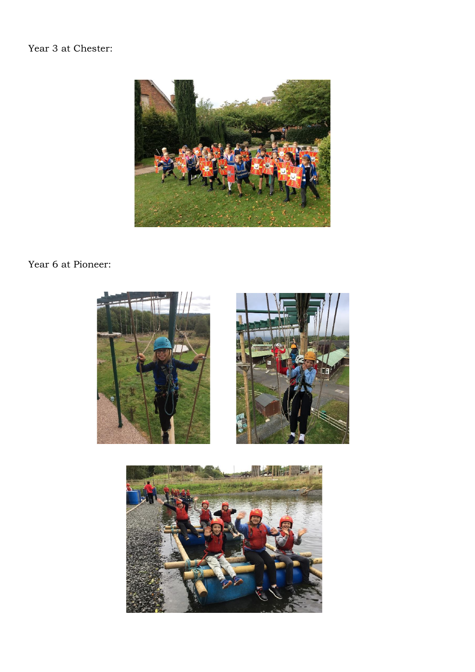### Year 3 at Chester:



# Year 6 at Pioneer:



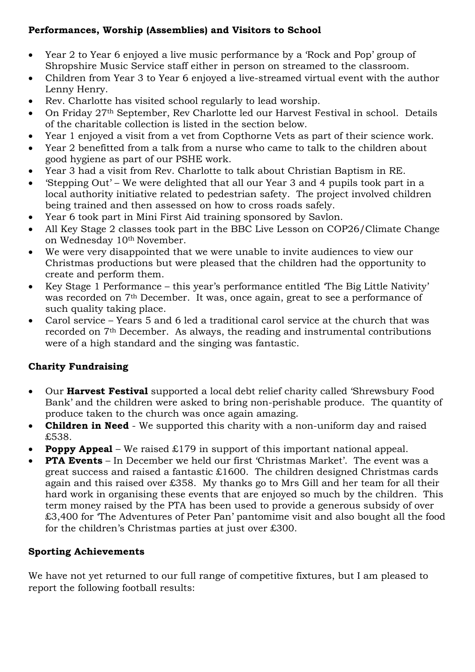#### **Performances, Worship (Assemblies) and Visitors to School**

- Year 2 to Year 6 enjoyed a live music performance by a 'Rock and Pop' group of Shropshire Music Service staff either in person on streamed to the classroom.
- Children from Year 3 to Year 6 enjoyed a live-streamed virtual event with the author Lenny Henry.
- Rev. Charlotte has visited school regularly to lead worship.
- On Friday 27th September, Rev Charlotte led our Harvest Festival in school. Details of the charitable collection is listed in the section below.
- Year 1 enjoyed a visit from a vet from Copthorne Vets as part of their science work.
- Year 2 benefitted from a talk from a nurse who came to talk to the children about good hygiene as part of our PSHE work.
- Year 3 had a visit from Rev. Charlotte to talk about Christian Baptism in RE.
- 'Stepping Out' We were delighted that all our Year 3 and 4 pupils took part in a local authority initiative related to pedestrian safety. The project involved children being trained and then assessed on how to cross roads safely.
- Year 6 took part in Mini First Aid training sponsored by Savlon.
- All Key Stage 2 classes took part in the BBC Live Lesson on COP26/Climate Change on Wednesday 10th November.
- We were very disappointed that we were unable to invite audiences to view our Christmas productions but were pleased that the children had the opportunity to create and perform them.
- Key Stage 1 Performance this year's performance entitled 'The Big Little Nativity' was recorded on 7th December. It was, once again, great to see a performance of such quality taking place.
- Carol service Years 5 and 6 led a traditional carol service at the church that was recorded on 7th December. As always, the reading and instrumental contributions were of a high standard and the singing was fantastic.

## **Charity Fundraising**

- Our **Harvest Festival** supported a local debt relief charity called 'Shrewsbury Food Bank' and the children were asked to bring non-perishable produce. The quantity of produce taken to the church was once again amazing.
- **Children in Need** We supported this charity with a non-uniform day and raised £538.
- **Poppy Appeal** We raised £179 in support of this important national appeal.
- **PTA Events** In December we held our first 'Christmas Market'. The event was a great success and raised a fantastic £1600. The children designed Christmas cards again and this raised over £358. My thanks go to Mrs Gill and her team for all their hard work in organising these events that are enjoyed so much by the children. This term money raised by the PTA has been used to provide a generous subsidy of over £3,400 for 'The Adventures of Peter Pan' pantomime visit and also bought all the food for the children's Christmas parties at just over £300.

#### **Sporting Achievements**

We have not yet returned to our full range of competitive fixtures, but I am pleased to report the following football results: